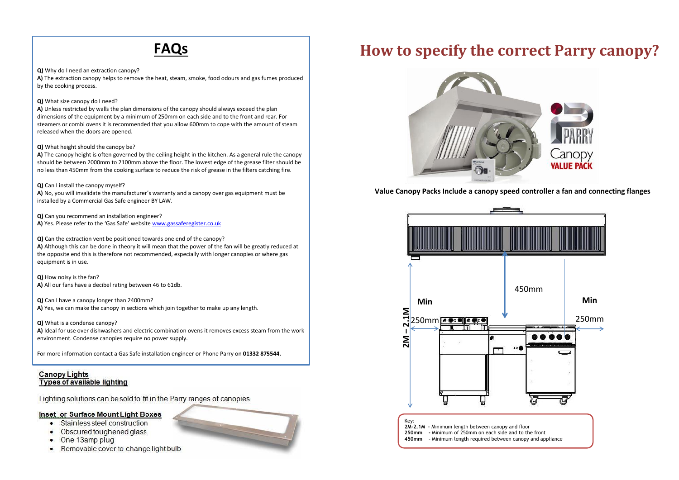# **FAQs**

**Q)** Why do I need an extraction canopy?

**A)** The extraction canopy helps to remove the heat, steam, smoke, food odours and gas fumes produced by the cooking process.

## **Q)** What size canopy do I need?

**A)** Unless restricted by walls the plan dimensions of the canopy should always exceed the plan dimensions of the equipment by a minimum of 250mm on each side and to the front and rear. For steamers or combi ovens it is recommended that you allow 600mm to cope with the amount of steam released when the doors are opened.

### **Q)** What height should the canopy be?

**A)** The canopy height is often governed by the ceiling height in the kitchen. As a general rule the canopy should be between 2000mm to 2100mm above the floor. The lowest edge of the grease filter should be no less than 450mm from the cookin[g](http://www.gassaferegister.co.uk/) surface to reduce the risk of grease in the filters catching fire.

### **Q)** Can I install the canopy myself?

**A)** No, you will invalidate the manufacturer's warranty and a canopy over gas equipment must be installed by a Commercial Gas Safe engineer BY LAW.

**Q)** Can you recommend an installation engineer? **A)** Yes. Please refer to the 'Gas Safe' website www.gassaferegister.co.uk

**Q)** Can the extraction vent be positioned towards one end of the canopy?

**A)** Although this can be done in theory it will mean that the power of the fan will be greatly reduced at the opposite end this is therefore not recommended, especially with longer canopies or where gas equipment is in use.

**Q)** How noisy is the fan? **A)** All our fans have a decibel rating between 46 to 61db.

**Q)** Can I have a canopy longer than 2400mm? **A)** Yes, we can make the canopy in sections which join together to make up any length.

**Q)** What is a condense canopy?

**A)** Ideal for use over dishwashers and electric combination ovens it removes excess steam from the work environment. Condense canopies require no power supply.

For more information contact a Gas Safe installation engineer or Phone Parry on **01332 875544.**

# **Canopy Lights Types of available lighting**

Lighting solutions can be sold to fit in the Parry ranges of canopies.

# **Inset or Surface Mount Light Boxes**

- · Stainless steel construction
- Obscured toughened glass
- One 13amp plug
- Removable cover to change light bulb

**Value Canopy Packs Include a canopy speed controller a fan and connecting flanges**

# **How to specify the correct Parry canopy?**